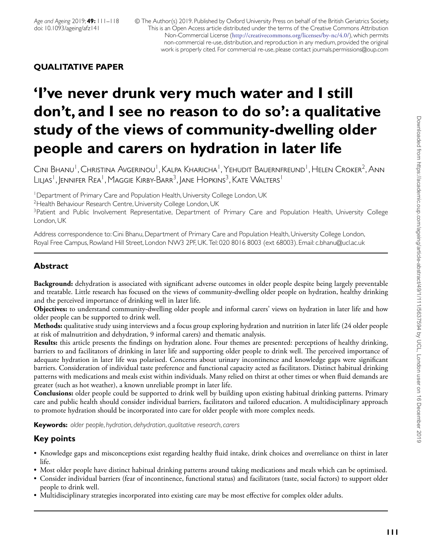© The Author(s) 2019. Published by Oxford University Press on behalf of the British Geriatrics Society. This is an Open Access article distributed under the terms of the Creative Commons Attribution Non-Commercial License (<http://creativecommons.org/licenses/by-nc/4.0/>), which permits non-commercial re-use, distribution, and reproduction in any medium, provided the original work is properly cited. For commercial re-use, please contact journals.permissions@oup.com

# **QUALITATIVE PAPER**

# **'I've never drunk very much water and I still don't, and I see no reason to do so': a qualitative study of the views of community-dwelling older people and carers on hydration in later life**

Cini Bhanu<sup>1</sup>, Christina Avgerinou<sup>1</sup>, Kalpa Kharicha<sup>1</sup>, Yehudit Bauernfreund<sup>1</sup>, Helen Croker<sup>2</sup>, Ann LILJAS<sup>1</sup>, JENNIFER REA<sup>1</sup>, Maggie Kirby-Barr<sup>3</sup>, Jane Hopkins<sup>3</sup>, Kate Walters<sup>1</sup>

<sup>1</sup>Department of Primary Care and Population Health, University College London, UK

<sup>2</sup> Health Behaviour Research Centre, University College London, UK

<sup>3</sup>Patient and Public Involvement Representative, Department of Primary Care and Population Health, University College London, UK

Address correspondence to: Cini Bhanu, Department of Primary Care and Population Health, University College London, Royal Free Campus, Rowland Hill Street, London NW3 2PF, UK. Tel: 020 8016 8003 (ext 68003). Email: c.bhanu@ucl.ac.uk

# **Abstract**

**Background:** dehydration is associated with significant adverse outcomes in older people despite being largely preventable and treatable. Little research has focused on the views of community-dwelling older people on hydration, healthy drinking and the perceived importance of drinking well in later life.

**Objectives:** to understand community-dwelling older people and informal carers' views on hydration in later life and how older people can be supported to drink well.

**Methods:** qualitative study using interviews and a focus group exploring hydration and nutrition in later life (24 older people at risk of malnutrition and dehydration, 9 informal carers) and thematic analysis.

**Results:** this article presents the findings on hydration alone. Four themes are presented: perceptions of healthy drinking, barriers to and facilitators of drinking in later life and supporting older people to drink well. The perceived importance of adequate hydration in later life was polarised. Concerns about urinary incontinence and knowledge gaps were significant barriers. Consideration of individual taste preference and functional capacity acted as facilitators. Distinct habitual drinking patterns with medications and meals exist within individuals. Many relied on thirst at other times or when fluid demands are greater (such as hot weather), a known unreliable prompt in later life.

**Conclusions:** older people could be supported to drink well by building upon existing habitual drinking patterns. Primary care and public health should consider individual barriers, facilitators and tailored education. A multidisciplinary approach to promote hydration should be incorporated into care for older people with more complex needs.

**Keywords:** *older people*, *hydration*, *dehydration*, *qualitative research*,*carers*

# **Key points**

- Knowledge gaps and misconceptions exist regarding healthy fluid intake, drink choices and overreliance on thirst in later life.
- Most older people have distinct habitual drinking patterns around taking medications and meals which can be optimised.
- Consider individual barriers (fear of incontinence, functional status) and facilitators (taste, social factors) to support older people to drink well.
- Multidisciplinary strategies incorporated into existing care may be most effective for complex older adults.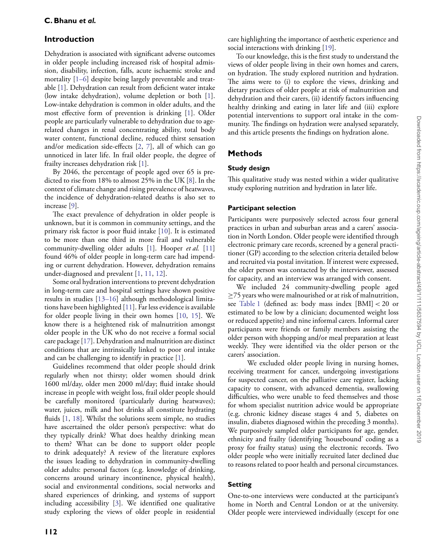# **Introduction**

Dehydration is associated with significant adverse outcomes in older people including increased risk of hospital admission, disability, infection, falls, acute ischaemic stroke and mortality [1–6] despite being largely preventable and treatable [\[1\]](#page-6-0). Dehydration can result from deficient water intake (low intake dehydration), volume depletion or both [\[1\]](#page-6-0). Low-intake dehydration is common in older adults, and the most effective form of prevention is drinking [\[1\]](#page-6-0). Older people are particularly vulnerable to dehydration due to agerelated changes in renal concentrating ability, total body water content, functional decline, reduced thirst sensation and/or medication side-effects [\[2,](#page-6-1) [7\]](#page-7-0), all of which can go unnoticed in later life. In frail older people, the degree of frailty increases dehydration risk [\[1\]](#page-6-0).

By 2046, the percentage of people aged over 65 is predicted to rise from 18% to almost 25% in the UK [\[8\]](#page-7-1). In the context of climate change and rising prevalence of heatwaves, the incidence of dehydration-related deaths is also set to increase [\[9\]](#page-7-2).

The exact prevalence of dehydration in older people is unknown, but it is common in community settings, and the primary risk factor is poor fluid intake [\[10\]](#page-7-3). It is estimated to be more than one third in more frail and vulnerable community-dwelling older adults [\[1\]](#page-6-0). Hooper *et al.* [\[11\]](#page-7-4) found 46% of older people in long-term care had impending or current dehydration. However, dehydration remains under-diagnosed and prevalent [\[1,](#page-6-0) [11,](#page-7-4) [12\]](#page-7-5).

Some oral hydration interventions to prevent dehydration in long-term care and hospital settings have shown positive results in studies [13–16] although methodological limitations have been highlighted [\[11\]](#page-7-4). Far less evidence is available for older people living in their own homes [\[10,](#page-7-3) [15\]](#page-7-6). We know there is a heightened risk of malnutrition amongst older people in the UK who do not receive a formal social care package [\[17\]](#page-7-7). Dehydration and malnutrition are distinct conditions that are intrinsically linked to poor oral intake and can be challenging to identify in practice [\[1\]](#page-6-0).

Guidelines recommend that older people should drink regularly when not thirsty; older women should drink 1600 ml/day, older men 2000 ml/day; fluid intake should increase in people with weight loss, frail older people should be carefully monitored (particularly during heatwaves); water, juices, milk and hot drinks all constitute hydrating fluids [\[1,](#page-6-0) [18\]](#page-7-8). Whilst the solutions seem simple, no studies have ascertained the older person's perspective: what do they typically drink? What does healthy drinking mean to them? What can be done to support older people to drink adequately? A review of the literature explores the issues leading to dehydration in community-dwelling older adults: personal factors (e.g. knowledge of drinking, concerns around urinary incontinence, physical health), social and environmental conditions, social networks and shared experiences of drinking, and systems of support including accessibility [\[3\]](#page-7-9). We identified one qualitative study exploring the views of older people in residential

care highlighting the importance of aesthetic experience and social interactions with drinking [\[19\]](#page-7-10).

To our knowledge, this is the first study to understand the views of older people living in their own homes and carers, on hydration. The study explored nutrition and hydration. The aims were to (i) to explore the views, drinking and dietary practices of older people at risk of malnutrition and dehydration and their carers, (ii) identify factors influencing healthy drinking and eating in later life and (iii) explore potential interventions to support oral intake in the community. The findings on hydration were analysed separately, and this article presents the findings on hydration alone.

## **Methods**

#### **Study design**

This qualitative study was nested within a wider qualitative study exploring nutrition and hydration in later life.

## **Participant selection**

Participants were purposively selected across four general practices in urban and suburban areas and a carers' association in North London. Older people were identified through electronic primary care records, screened by a general practitioner (GP) according to the selection criteria detailed below and recruited via postal invitation. If interest were expressed, the older person was contacted by the interviewer, assessed for capacity, and an interview was arranged with consent.

We included 24 community-dwelling people aged ≥75 years who were malnourished or at risk of malnutrition, see [Table 1](#page-2-0) (defined as: body mass index [BMI] *<* 20 or estimated to be low by a clinician; documented weight loss or reduced appetite) and nine informal carers. Informal carer participants were friends or family members assisting the older person with shopping and/or meal preparation at least weekly. They were identified via the older person or the carers' association.

We excluded older people living in nursing homes, receiving treatment for cancer, undergoing investigations for suspected cancer, on the palliative care register, lacking capacity to consent, with advanced dementia, swallowing difficulties, who were unable to feed themselves and those for whom specialist nutrition advice would be appropriate (e.g. chronic kidney disease stages 4 and 5, diabetes on insulin, diabetes diagnosed within the preceding 3 months). We purposively sampled older participants for age, gender, ethnicity and frailty (identifying 'housebound' coding as a proxy for frailty status) using the electronic records. Two older people who were initially recruited later declined due to reasons related to poor health and personal circumstances.

## **Setting**

One-to-one interviews were conducted at the participant's home in North and Central London or at the university. Older people were interviewed individually (except for one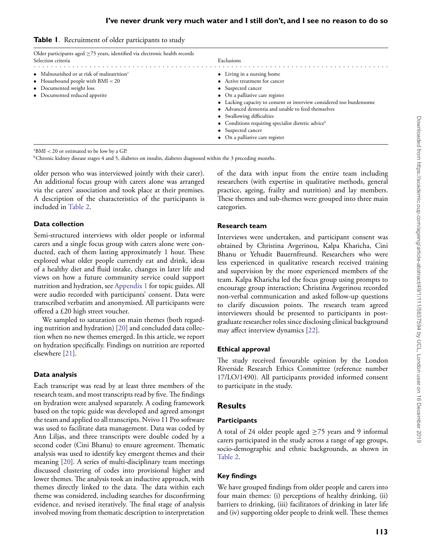<span id="page-2-0"></span>

|  |  | Table 1. Recruitment of older participants to study |  |  |  |  |  |  |
|--|--|-----------------------------------------------------|--|--|--|--|--|--|
|--|--|-----------------------------------------------------|--|--|--|--|--|--|

| Older participants aged $\geq$ 75 years, identified via electronic health records<br>Selection criteria | Exclusions                                                                                                                                             |
|---------------------------------------------------------------------------------------------------------|--------------------------------------------------------------------------------------------------------------------------------------------------------|
| • Malnourished or at risk of malnutrition <sup>a</sup>                                                  | • Living in a nursing home                                                                                                                             |
| • Housebound people with $BMI < 20$<br>• Documented weight loss<br>• Documented reduced appetite        | • Active treatment for cancer<br>• Suspected cancer<br>• On a palliative care register                                                                 |
|                                                                                                         | • Lacking capacity to consent or interview considered too burdensome<br>• Advanced dementia and unable to feed themselves<br>• Swallowing difficulties |
|                                                                                                         | • Conditions requiring specialist dietetic advice <sup>b</sup><br>• Suspected cancer<br>• On a palliative care register                                |

a BMI *<* 20 or estimated to be low by a GP.

bChronic kidney disease stages 4 and 5, diabetes on insulin, diabetes diagnosed within the 3 preceding months.

older person who was interviewed jointly with their carer). An additional focus group with carers alone was arranged via the carers' association and took place at their premises. A description of the characteristics of the participants is included in [Table 2.](#page-3-0)

#### **Data collection**

Semi-structured interviews with older people or informal carers and a single focus group with carers alone were conducted, each of them lasting approximately 1 hour. These explored what older people currently eat and drink, ideas of a healthy diet and fluid intake, changes in later life and views on how a future community service could support nutrition and hydration, see [Appendix 1](https://academic.oup.com/scan/article-lookup/doi/10.1093/scan/afz141#supplementary-data) for topic guides. All were audio recorded with participants' consent. Data were transcribed verbatim and anonymised. All participants were offered a £20 high street voucher.

We sampled to saturation on main themes (both regarding nutrition and hydration) [\[20\]](#page-7-11) and concluded data collection when no new themes emerged. In this article, we report on hydration specifically. Findings on nutrition are reported elsewhere [\[21\]](#page-7-12).

#### **Data analysis**

Each transcript was read by at least three members of the research team, and most transcripts read by five. The findings on hydration were analysed separately. A coding framework based on the topic guide was developed and agreed amongst the team and applied to all transcripts. Nvivo 11 Pro software was used to facilitate data management. Data was coded by Ann Liljas, and three transcripts were double coded by a second coder (Cini Bhanu) to ensure agreement. Thematic analysis was used to identify key emergent themes and their meaning [\[20\]](#page-7-11). A series of multi-disciplinary team meetings discussed clustering of codes into provisional higher and lower themes. The analysis took an inductive approach, with themes directly linked to the data. The data within each theme was considered, including searches for disconfirming evidence, and revised iteratively. The final stage of analysis involved moving from thematic description to interpretation

of the data with input from the entire team including researchers (with expertise in qualitative methods, general practice, ageing, frailty and nutrition) and lay members. These themes and sub-themes were grouped into three main categories.

#### **Research team**

Interviews were undertaken, and participant consent was obtained by Christina Avgerinou, Kalpa Kharicha, Cini Bhanu or Yehudit Bauernfreund. Researchers who were less experienced in qualitative research received training and supervision by the more experienced members of the team. Kalpa Kharicha led the focus group using prompts to encourage group interaction; Christina Avgerinou recorded non-verbal communication and asked follow-up questions to clarify discussion points. The research team agreed interviewers should be presented to participants in postgraduate researcher roles since disclosing clinical background may affect interview dynamics [\[22\]](#page-7-13).

#### **Ethical approval**

The study received favourable opinion by the London Riverside Research Ethics Committee (reference number 17/LO/1490). All participants provided informed consent to participate in the study.

## **Results**

#### **Participants**

A total of 24 older people aged  $\geq$ 75 years and 9 informal carers participated in the study across a range of age groups, socio-demographic and ethnic backgrounds, as shown in [Table 2.](#page-3-0)

## **Key findings**

We have grouped findings from older people and carers into four main themes: (i) perceptions of healthy drinking, (ii) barriers to drinking, (iii) facilitators of drinking in later life and (iv) supporting older people to drink well. These themes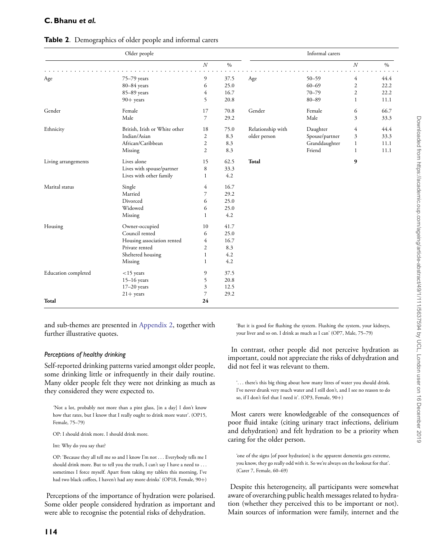## **C. Bhanu** *et al.*

|                     | Older people                  |                |      |                   | Informal carers |                |      |
|---------------------|-------------------------------|----------------|------|-------------------|-----------------|----------------|------|
|                     |                               | $\cal N$       | $\%$ |                   |                 | $\cal N$       | $\%$ |
| Age                 | 75-79 years                   | 9              | 37.5 | Age               | $50 - 59$       | 4              | 44.4 |
|                     | 80-84 years                   | 6              | 25.0 |                   | $60 - 69$       | $\mathfrak{2}$ | 22.2 |
|                     | 85-89 years                   | $\overline{4}$ | 16.7 |                   | $70 - 79$       | $\overline{c}$ | 22.2 |
|                     | $90+$ years                   | 5              | 20.8 |                   | $80 - 89$       | $\mathbf{1}$   | 11.1 |
| Gender              | Female                        | 17             | 70.8 | Gender            | Female          | 6              | 66.7 |
|                     | Male                          | $\overline{7}$ | 29.2 |                   | Male            | 3              | 33.3 |
| Ethnicity           | British, Irish or White other | 18             | 75.0 | Relationship with | Daughter        | 4              | 44.4 |
|                     | Indian/Asian                  | $\mathfrak{2}$ | 8.3  | older person      | Spouse/partner  | 3              | 33.3 |
|                     | African/Caribbean             | $\mathfrak{2}$ | 8.3  |                   | Granddaughter   | 1              | 11.1 |
|                     | Missing                       | $\mathfrak{2}$ | 8.3  |                   | Friend          | 1              | 11.1 |
| Living arrangements | Lives alone                   | 15             | 62.5 | Total             |                 | 9              |      |
|                     | Lives with spouse/partner     | $\,$ 8 $\,$    | 33.3 |                   |                 |                |      |
|                     | Lives with other family       | 1              | 4.2  |                   |                 |                |      |
| Marital status      | Single                        | 4              | 16.7 |                   |                 |                |      |
|                     | Married                       | $\overline{7}$ | 29.2 |                   |                 |                |      |
|                     | Divorced                      | 6              | 25.0 |                   |                 |                |      |
|                     | Widowed                       | 6              | 25.0 |                   |                 |                |      |
|                     | Missing                       | 1              | 4.2  |                   |                 |                |      |
| Housing             | Owner-occupied                | 10             | 41.7 |                   |                 |                |      |
|                     | Council rented                | 6              | 25.0 |                   |                 |                |      |
|                     | Housing association rented    | 4              | 16.7 |                   |                 |                |      |
|                     | Private rented                | $\overline{2}$ | 8.3  |                   |                 |                |      |
|                     | Sheltered housing             | $\mathbf{1}$   | 4.2  |                   |                 |                |      |
|                     | Missing                       | $\mathbf{1}$   | 4.2  |                   |                 |                |      |
| Education completed | $<$ 15 years                  | 9              | 37.5 |                   |                 |                |      |
|                     | $15-16$ years                 | 5              | 20.8 |                   |                 |                |      |
|                     | $17-20$ years                 | 3              | 12.5 |                   |                 |                |      |
|                     | $21 +$ years                  | $\overline{7}$ | 29.2 |                   |                 |                |      |
| Total               |                               | 24             |      |                   |                 |                |      |

#### <span id="page-3-0"></span>**Table 2**. Demographics of older people and informal carers

and sub-themes are presented in [Appendix 2,](https://academic.oup.com/scan/article-lookup/doi/10.1093/scan/afz141#supplementary-data) together with further illustrative quotes.

#### *Perceptions of healthy drinking*

Self-reported drinking patterns varied amongst older people, some drinking little or infrequently in their daily routine. Many older people felt they were not drinking as much as they considered they were expected to.

*'*Not a lot, probably not more than a pint glass, [in a day] I don't know how that rates, but I know that I really ought to drink more water'. (OP15, Female, 75–79)

OP: I should drink more. I should drink more.

Int: Why do you say that?

OP: 'Because they all tell me so and I know I'm not *...* Everybody tells me I should drink more. But to tell you the truth, I can't say I have a need to *...* sometimes I force myself. Apart from taking my tablets this morning, I've had two black coffees, I haven't had any more drinks' (OP18, Female, 90+)

Perceptions of the importance of hydration were polarised. Some older people considered hydration as important and were able to recognise the potential risks of dehydration.

'But it is good for flushing the system. Flushing the system, your kidneys, your liver and so on. I drink as much as I can' (OP7, Male, 75–79)

In contrast, other people did not perceive hydration as important, could not appreciate the risks of dehydration and did not feel it was relevant to them.

'*...* there's this big thing about how many litres of water you should drink. I've never drunk very much water and I still don't, and I see no reason to do so, if I don't feel that I need it'. (OP3, Female, 90+)

Most carers were knowledgeable of the consequences of poor fluid intake (citing urinary tract infections, delirium and dehydration) and felt hydration to be a priority when caring for the older person.

'one of the signs [of poor hydration] is the apparent dementia gets extreme, you know, they go really odd with it. So we're always on the lookout for that'. (Carer 7, Female, 60–69)

Despite this heterogeneity, all participants were somewhat aware of overarching public health messages related to hydration (whether they perceived this to be important or not). Main sources of information were family, internet and the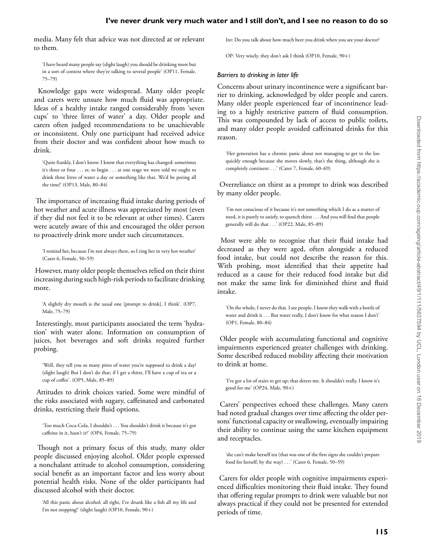media. Many felt that advice was not directed at or relevant to them.

'I have heard many people say (slight laugh) you should be drinking more but in a sort of context where they're talking to several people' (OP11, Female, 75–79)

Knowledge gaps were widespread. Many older people and carers were unsure how much fluid was appropriate. Ideas of a healthy intake ranged considerably from 'seven cups' to 'three litres of water' a day. Older people and carers often judged recommendations to be unachievable or inconsistent. Only one participant had received advice from their doctor and was confident about how much to drink.

'Quite frankly, I don't know. I know that everything has changed: sometimes it's three or four *...* er, to begin *...* at one stage we were told we ought to drink three litres of water a day or something like that. We'd be peeing all the time!' (OP13, Male, 80–84)

The importance of increasing fluid intake during periods of hot weather and acute illness was appreciated by most (even if they did not feel it to be relevant at other times). Carers were acutely aware of this and encouraged the older person to proactively drink more under such circumstances.

'I remind her, because I'm not always there, so I ring her in very hot weather' (Carer 6, Female, 50–59)

However, many older people themselves relied on their thirst increasing during such high-risk periods to facilitate drinking more.

'A slightly dry mouth is the usual one [prompt to drink], I think'. (OP7, Male, 75–79)

Interestingly, most participants associated the term 'hydration' with water alone. Information on consumption of juices, hot beverages and soft drinks required further probing.

'Well, they tell you so many pints of water you're supposed to drink a day! (slight laugh) But I don't do that; if I get a thirst, I'll have a cup of tea or a cup of coffee'. (OP5, Male, 85–89)

Attitudes to drink choices varied. Some were mindful of the risks associated with sugary, caffeinated and carbonated drinks, restricting their fluid options.

'Too much Coca-Cola, I shouldn't *...* You shouldn't drink it because it's got caffeine in it, hasn't it?' (OP4, Female, 75–79)

Though not a primary focus of this study, many older people discussed enjoying alcohol. Older people expressed a nonchalant attitude to alcohol consumption, considering social benefit as an important factor and less worry about potential health risks. None of the older participants had discussed alcohol with their doctor.

'All this panic about alcohol; all right, I've drunk like a fish all my life and I'm not stopping!' (slight laugh) (OP10, Female, 90+)

Int: Do you talk about how much beer you drink when you see your doctor?

OP: Very wisely, they don't ask I think (OP10, Female, 90+)

#### *Barriers to drinking in later life*

Concerns about urinary incontinence were a significant barrier to drinking, acknowledged by older people and carers. Many older people experienced fear of incontinence leading to a highly restrictive pattern of fluid consumption. This was compounded by lack of access to public toilets, and many older people avoided caffeinated drinks for this reason.

'Her generation has a chronic panic about not managing to get to the loo quickly enough because she moves slowly, that's the thing, although she is completely continent *...*' (Carer 7, Female, 60–69)

Overreliance on thirst as a prompt to drink was described by many older people.

'I'm not conscious of it because it's not something which I do as a matter of need, it is purely to satisfy, to quench thirst *...* And you will find that people generally will do that *...*' (OP22, Male, 85–89)

Most were able to recognise that their fluid intake had decreased as they were aged, often alongside a reduced food intake, but could not describe the reason for this. With probing, most identified that their appetite had reduced as a cause for their reduced food intake but did not make the same link for diminished thirst and fluid intake.

'On the whole, I never do that. I see people, I know they walk with a bottle of water and drink it . . . But water really, I don't know for what reason I don't' (OP1, Female, 80–84)

Older people with accumulating functional and cognitive impairments experienced greater challenges with drinking. Some described reduced mobility affecting their motivation to drink at home.

'I've got a lot of stairs to get up; that deters me. It shouldn't really, I know it's good for me' (OP24, Male, 90+)

Carers' perspectives echoed these challenges. Many carers had noted gradual changes over time affecting the older persons' functional capacity or swallowing, eventually impairing their ability to continue using the same kitchen equipment and receptacles.

'she can't make herself tea (that was one of the first signs she couldn't prepare food for herself, by the way) *...*' (Carer 6, Female, 50–59)

Carers for older people with cognitive impairments experienced difficulties monitoring their fluid intake. They found that offering regular prompts to drink were valuable but not always practical if they could not be presented for extended periods of time.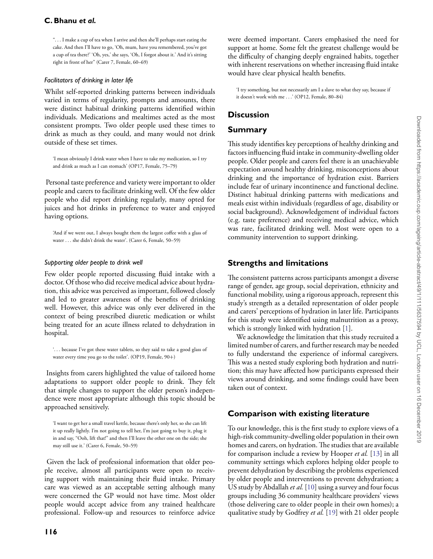## **C. Bhanu** *et al.*

"*...* I make a cup of tea when I arrive and then she'll perhaps start eating the cake. And then I'll have to go, 'Oh, mum, have you remembered, you've got a cup of tea there?' 'Oh, yes,' she says, 'Oh, I forgot about it.' And it's sitting right in front of her" (Carer 7, Female, 60–69)

#### *Facilitators of drinking in later life*

Whilst self-reported drinking patterns between individuals varied in terms of regularity, prompts and amounts, there were distinct habitual drinking patterns identified within individuals. Medications and mealtimes acted as the most consistent prompts. Two older people used these times to drink as much as they could, and many would not drink outside of these set times.

'I mean obviously I drink water when I have to take my medication, so I try and drink as much as I can stomach' (OP17, Female, 75–79)

Personal taste preference and variety were important to older people and carers to facilitate drinking well. Of the few older people who did report drinking regularly, many opted for juices and hot drinks in preference to water and enjoyed having options.

'And if we went out, I always bought them the largest coffee with a glass of water *...* she didn't drink the water'. (Carer 6, Female, 50–59)

#### *Supporting older people to drink well*

Few older people reported discussing fluid intake with a doctor. Of those who did receive medical advice about hydration, this advice was perceived as important, followed closely and led to greater awareness of the benefits of drinking well. However, this advice was only ever delivered in the context of being prescribed diuretic medication or whilst being treated for an acute illness related to dehydration in hospital.

'*...* because I've got these water tablets, so they said to take a good glass of water every time you go to the toilet'. (OP19, Female, 90+)

Insights from carers highlighted the value of tailored home adaptations to support older people to drink. They felt that simple changes to support the older person's independence were most appropriate although this topic should be approached sensitively.

'I want to get her a small travel kettle, because there's only her, so she can lift it up really lightly. I'm not going to tell her, I'm just going to buy it, plug it in and say, "Ooh, lift that!" and then I'll leave the other one on the side; she may still use it.' (Carer 6, Female, 50–59)

Given the lack of professional information that older people receive, almost all participants were open to receiving support with maintaining their fluid intake. Primary care was viewed as an acceptable setting although many were concerned the GP would not have time. Most older people would accept advice from any trained healthcare professional. Follow-up and resources to reinforce advice

were deemed important. Carers emphasised the need for support at home. Some felt the greatest challenge would be the difficulty of changing deeply engrained habits, together with inherent reservations on whether increasing fluid intake would have clear physical health benefits.

'I try something, but not necessarily am I a slave to what they say, because if it doesn't work with me *...*' (OP12, Female, 80–84)

# **Discussion**

## **Summary**

This study identifies key perceptions of healthy drinking and factors influencing fluid intake in community-dwelling older people. Older people and carers feel there is an unachievable expectation around healthy drinking, misconceptions about drinking and the importance of hydration exist. Barriers include fear of urinary incontinence and functional decline. Distinct habitual drinking patterns with medications and meals exist within individuals (regardless of age, disability or social background). Acknowledgement of individual factors (e.g. taste preference) and receiving medical advice, which was rare, facilitated drinking well. Most were open to a community intervention to support drinking.

# **Strengths and limitations**

The consistent patterns across participants amongst a diverse range of gender, age group, social deprivation, ethnicity and functional mobility, using a rigorous approach, represent this study's strength as a detailed representation of older people and carers' perceptions of hydration in later life. Participants for this study were identified using malnutrition as a proxy, which is strongly linked with hydration [\[1\]](#page-6-0).

We acknowledge the limitation that this study recruited a limited number of carers, and further research may be needed to fully understand the experience of informal caregivers. This was a nested study exploring both hydration and nutrition; this may have affected how participants expressed their views around drinking, and some findings could have been taken out of context.

# **Comparison with existing literature**

To our knowledge, this is the first study to explore views of a high-risk community-dwelling older population in their own homes and carers, on hydration. The studies that are available for comparison include a review by Hooper *et al.* [\[13\]](#page-7-14) in all community settings which explores helping older people to prevent dehydration by describing the problems experienced by older people and interventions to prevent dehydration; a US study by Abdallah *et al.* [\[10\]](#page-7-3) using a survey and four focus groups including 36 community healthcare providers' views (those delivering care to older people in their own homes); a qualitative study by Godfrey *et al.* [\[19\]](#page-7-10) with 21 older people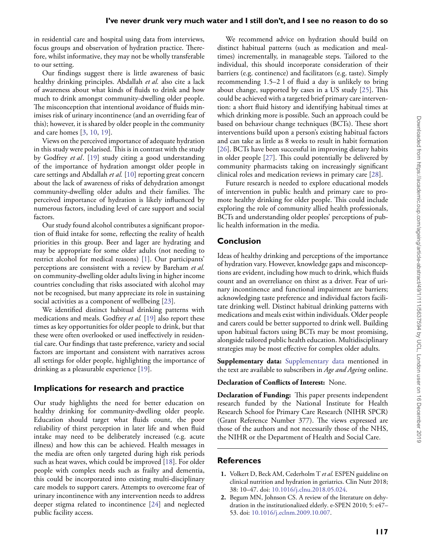in residential care and hospital using data from interviews, focus groups and observation of hydration practice. Therefore, whilst informative, they may not be wholly transferable to our setting.

Our findings suggest there is little awareness of basic healthy drinking principles. Abdallah *et al.* also cite a lack of awareness about what kinds of fluids to drink and how much to drink amongst community-dwelling older people. The misconception that intentional avoidance of fluids minimises risk of urinary incontinence (and an overriding fear of this); however, it is shared by older people in the community and care homes [\[3,](#page-7-9) [10,](#page-7-3) [19\]](#page-7-10).

Views on the perceived importance of adequate hydration in this study were polarised. This is in contrast with the study by Godfrey *et al*. [\[19\]](#page-7-10) study citing a good understanding of the importance of hydration amongst older people in care settings and Abdallah *et al.* [\[10\]](#page-7-3) reporting great concern about the lack of awareness of risks of dehydration amongst community-dwelling older adults and their families. The perceived importance of hydration is likely influenced by numerous factors, including level of care support and social factors.

Our study found alcohol contributes a significant proportion of fluid intake for some, reflecting the reality of health priorities in this group. Beer and lager are hydrating and may be appropriate for some older adults (not needing to restrict alcohol for medical reasons) [\[1\]](#page-6-0). Our participants' perceptions are consistent with a review by Bareham *et al.* on community-dwelling older adults living in higher income countries concluding that risks associated with alcohol may not be recognised, but many appreciate its role in sustaining social activities as a component of wellbeing [\[23\]](#page-7-15).

We identified distinct habitual drinking patterns with medications and meals. Godfrey *et al.* [\[19\]](#page-7-10) also report these times as key opportunities for older people to drink, but that these were often overlooked or used ineffectively in residential care. Our findings that taste preference, variety and social factors are important and consistent with narratives across all settings for older people, highlighting the importance of drinking as a pleasurable experience [\[19\]](#page-7-10).

# **Implications for research and practice**

Our study highlights the need for better education on healthy drinking for community-dwelling older people. Education should target what fluids count, the poor reliability of thirst perception in later life and when fluid intake may need to be deliberately increased (e.g. acute illness) and how this can be achieved. Health messages in the media are often only targeted during high risk periods such as heat waves, which could be improved [\[18\]](#page-7-8). For older people with complex needs such as frailty and dementia, this could be incorporated into existing multi-disciplinary care models to support carers. Attempts to overcome fear of urinary incontinence with any intervention needs to address deeper stigma related to incontinence [\[24\]](#page-7-16) and neglected public facility access.

We recommend advice on hydration should build on distinct habitual patterns (such as medication and mealtimes) incrementally, in manageable steps. Tailored to the individual, this should incorporate consideration of their barriers (e.g. continence) and facilitators (e.g. taste). Simply recommending 1.5–2 l of fluid a day is unlikely to bring about change, supported by cases in a US study [\[25\]](#page-7-17). This could be achieved with a targeted brief primary care intervention: a short fluid history and identifying habitual times at which drinking more is possible. Such an approach could be based on behaviour change techniques (BCTs). These short interventions build upon a person's existing habitual factors and can take as little as 8 weeks to result in habit formation [\[26\]](#page-7-18). BCTs have been successful in improving dietary habits in older people [\[27\]](#page-7-19). This could potentially be delivered by community pharmacists taking on increasingly significant clinical roles and medication reviews in primary care [\[28\]](#page-7-20).

Future research is needed to explore educational models of intervention in public health and primary care to promote healthy drinking for older people. This could include exploring the role of community allied health professionals, BCTs and understanding older peoples' perceptions of public health information in the media.

# **Conclusion**

Ideas of healthy drinking and perceptions of the importance of hydration vary. However, knowledge gaps and misconceptions are evident, including how much to drink, which fluids count and an overreliance on thirst as a driver. Fear of urinary incontinence and functional impairment are barriers; acknowledging taste preference and individual factors facilitate drinking well. Distinct habitual drinking patterns with medications and meals exist within individuals. Older people and carers could be better supported to drink well. Building upon habitual factors using BCTs may be most promising, alongside tailored public health education. Multidisciplinary strategies may be most effective for complex older adults.

**Supplementary data:** [Supplementary data](https://academic.oup.com/scan/article-lookup/doi/10.1093/scan/afz141#supplementary-data) mentioned in the text are available to subscribers in *Age and Ageing* online.

## **Declaration of Conflicts of Interest:** None.

**Declaration of Funding:** This paper presents independent research funded by the National Institute for Health Research School for Primary Care Research (NIHR SPCR) (Grant Reference Number 377). The views expressed are those of the authors and not necessarily those of the NHS, the NIHR or the Department of Health and Social Care.

# **References**

- <span id="page-6-0"></span>**1.** Volkert D, Beck AM, Cederholm T *et al.* ESPEN guideline on clinical nutrition and hydration in geriatrics. Clin Nutr 2018; 38: 10–47. doi: [10.1016/j.clnu.2018.05.024.](https://dx.doi.org/10.1016/j.clnu.2018.05.024)
- <span id="page-6-1"></span>**2.** Begum MN, Johnson CS. A review of the literature on dehydration in the institutionalized elderly. e-SPEN 2010; 5: e47– 53. doi: [10.1016/j.eclnm.2009.10.007.](https://dx.doi.org/10.1016/j.eclnm.2009.10.007)